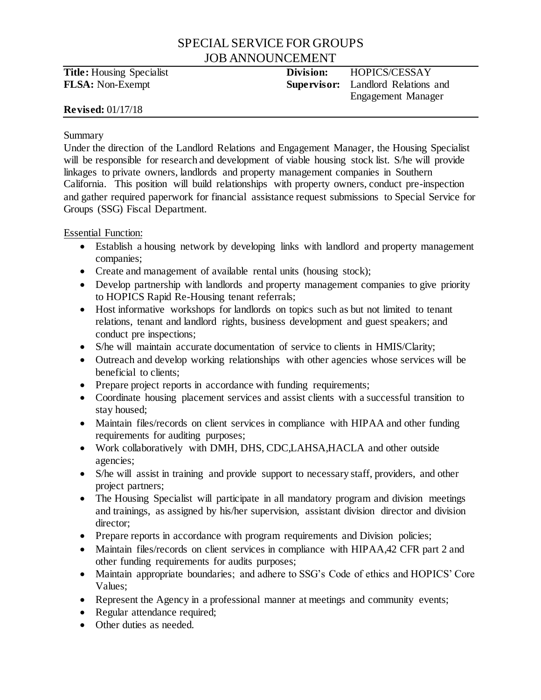# SPECIAL SERVICE FOR GROUPS JOB ANNOUNCEMENT

**Title:** Housing Specialist **Division:** HOPICS/CESSAY **FLSA:** Non-Exempt **Supervisor:** Landlord Relations and Engagement Manager

# **Revised:** 01/17/18

#### Summary

Under the direction of the Landlord Relations and Engagement Manager, the Housing Specialist will be responsible for research and development of viable housing stock list. S/he will provide linkages to private owners, landlords and property management companies in Southern California. This position will build relationships with property owners, conduct pre-inspection and gather required paperwork for financial assistance request submissions to Special Service for Groups (SSG) Fiscal Department.

Essential Function:

- Establish a housing network by developing links with landlord and property management companies;
- Create and management of available rental units (housing stock);
- Develop partnership with landlords and property management companies to give priority to HOPICS Rapid Re-Housing tenant referrals;
- Host informative workshops for landlords on topics such as but not limited to tenant relations, tenant and landlord rights, business development and guest speakers; and conduct pre inspections;
- S/he will maintain accurate documentation of service to clients in HMIS/Clarity;
- Outreach and develop working relationships with other agencies whose services will be beneficial to clients;
- Prepare project reports in accordance with funding requirements;
- Coordinate housing placement services and assist clients with a successful transition to stay housed;
- Maintain files/records on client services in compliance with HIPAA and other funding requirements for auditing purposes;
- Work collaboratively with DMH, DHS, CDC,LAHSA,HACLA and other outside agencies;
- S/he will assist in training and provide support to necessary staff, providers, and other project partners;
- The Housing Specialist will participate in all mandatory program and division meetings and trainings, as assigned by his/her supervision, assistant division director and division director;
- Prepare reports in accordance with program requirements and Division policies;
- Maintain files/records on client services in compliance with HIPAA,42 CFR part 2 and other funding requirements for audits purposes;
- Maintain appropriate boundaries; and adhere to SSG's Code of ethics and HOPICS' Core Values;
- Represent the Agency in a professional manner at meetings and community events;
- Regular attendance required;
- Other duties as needed.